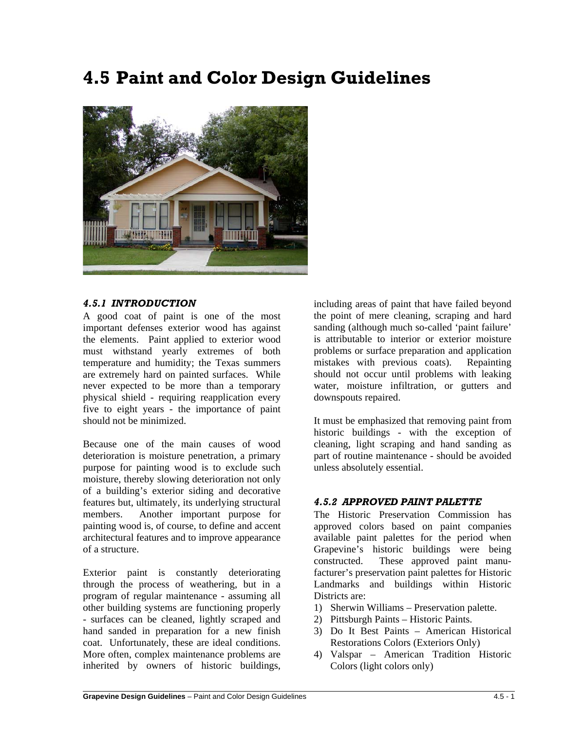# **4.5 Paint and Color Design Guidelines**



#### *4.5.1 INTRODUCTION*

A good coat of paint is one of the most important defenses exterior wood has against the elements. Paint applied to exterior wood must withstand yearly extremes of both temperature and humidity; the Texas summers are extremely hard on painted surfaces. While never expected to be more than a temporary physical shield - requiring reapplication every five to eight years - the importance of paint should not be minimized.

Because one of the main causes of wood deterioration is moisture penetration, a primary purpose for painting wood is to exclude such moisture, thereby slowing deterioration not only of a building's exterior siding and decorative features but, ultimately, its underlying structural members. Another important purpose for painting wood is, of course, to define and accent architectural features and to improve appearance of a structure.

Exterior paint is constantly deteriorating through the process of weathering, but in a program of regular maintenance - assuming all other building systems are functioning properly - surfaces can be cleaned, lightly scraped and hand sanded in preparation for a new finish coat. Unfortunately, these are ideal conditions. More often, complex maintenance problems are inherited by owners of historic buildings,

including areas of paint that have failed beyond the point of mere cleaning, scraping and hard sanding (although much so-called 'paint failure' is attributable to interior or exterior moisture problems or surface preparation and application mistakes with previous coats). Repainting should not occur until problems with leaking water, moisture infiltration, or gutters and downspouts repaired.

It must be emphasized that removing paint from historic buildings - with the exception of cleaning, light scraping and hand sanding as part of routine maintenance - should be avoided unless absolutely essential.

## *4.5.2 APPROVED PAINT PALETTE*

The Historic Preservation Commission has approved colors based on paint companies available paint palettes for the period when Grapevine's historic buildings were being constructed. These approved paint manufacturer's preservation paint palettes for Historic Landmarks and buildings within Historic Districts are:

- 1) Sherwin Williams Preservation palette.
- 2) Pittsburgh Paints Historic Paints.
- 3) Do It Best Paints American Historical Restorations Colors (Exteriors Only)
- 4) Valspar American Tradition Historic Colors (light colors only)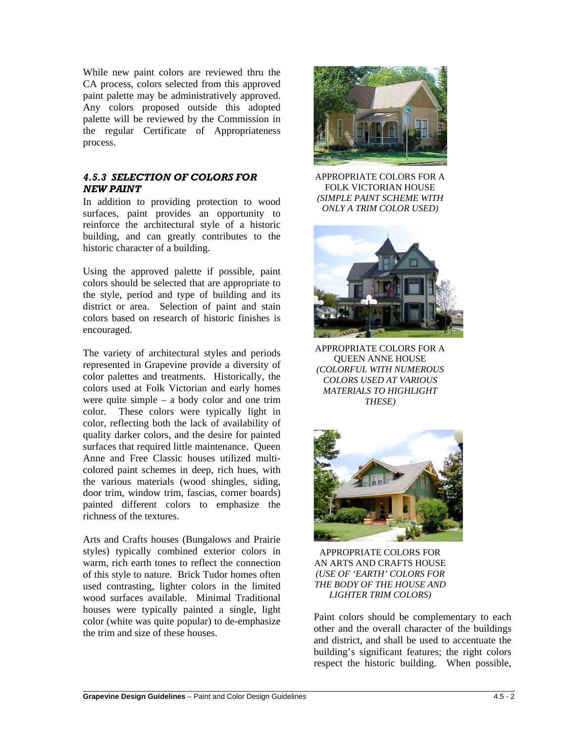While new paint colors are reviewed thru the CA process, colors selected from this approved paint palette may be administratively approved. Any colors proposed outside this adopted palette will be reviewed by the Commission in the regular Certificate of Appropriateness process.

## *4.5.3 SELECTION OF COLORS FOR NEW PAINT*

In addition to providing protection to wood surfaces, paint provides an opportunity to reinforce the architectural style of a historic building, and can greatly contributes to the historic character of a building.

Using the approved palette if possible, paint colors should be selected that are appropriate to the style, period and type of building and its district or area. Selection of paint and stain colors based on research of historic finishes is encouraged.

The variety of architectural styles and periods represented in Grapevine provide a diversity of color palettes and treatments. Historically, the colors used at Folk Victorian and early homes were quite simple – a body color and one trim color. These colors were typically light in color, reflecting both the lack of availability of quality darker colors, and the desire for painted surfaces that required little maintenance. Queen Anne and Free Classic houses utilized multicolored paint schemes in deep, rich hues, with the various materials (wood shingles, siding, door trim, window trim, fascias, corner boards) painted different colors to emphasize the richness of the textures.

Arts and Crafts houses (Bungalows and Prairie styles) typically combined exterior colors in warm, rich earth tones to reflect the connection of this style to nature. Brick Tudor homes often used contrasting, lighter colors in the limited wood surfaces available. Minimal Traditional houses were typically painted a single, light color (white was quite popular) to de-emphasize the trim and size of these houses.



APPROPRIATE COLORS FOR A FOLK VICTORIAN HOUSE *(SIMPLE PAINT SCHEME WITH ONLY A TRIM COLOR USED)*



APPROPRIATE COLORS FOR A QUEEN ANNE HOUSE *(COLORFUL WITH NUMEROUS COLORS USED AT VARIOUS MATERIALS TO HIGHLIGHT THESE)*



APPROPRIATE COLORS FOR AN ARTS AND CRAFTS HOUSE *(USE OF 'EARTH' COLORS FOR THE BODY OF THE HOUSE AND LIGHTER TRIM COLORS)*

Paint colors should be complementary to each other and the overall character of the buildings and district, and shall be used to accentuate the building's significant features; the right colors respect the historic building. When possible,

 $\overline{a}$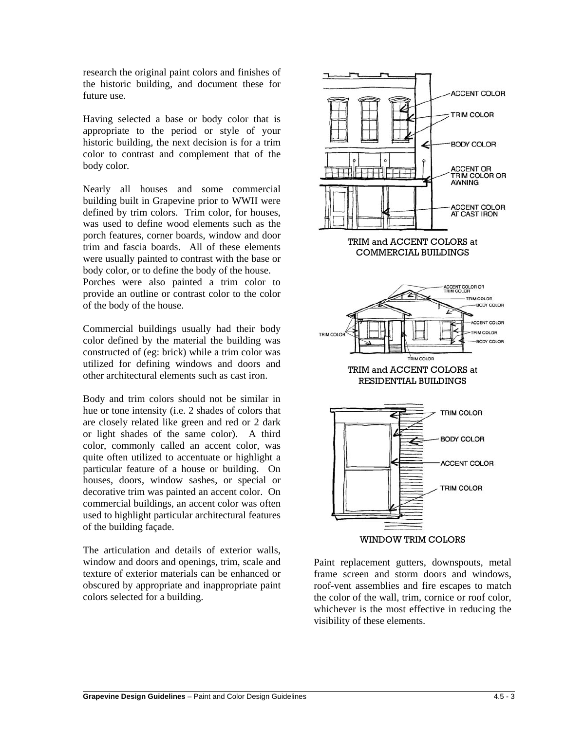research the original paint colors and finishes of the historic building, and document these for future use.

Having selected a base or body color that is appropriate to the period or style of your historic building, the next decision is for a trim color to contrast and complement that of the body color.

Nearly all houses and some commercial building built in Grapevine prior to WWII were defined by trim colors. Trim color, for houses, was used to define wood elements such as the porch features, corner boards, window and door trim and fascia boards. All of these elements were usually painted to contrast with the base or body color, or to define the body of the house.

Porches were also painted a trim color to provide an outline or contrast color to the color of the body of the house.

Commercial buildings usually had their body color defined by the material the building was constructed of (eg: brick) while a trim color was utilized for defining windows and doors and other architectural elements such as cast iron.

Body and trim colors should not be similar in hue or tone intensity (i.e. 2 shades of colors that are closely related like green and red or 2 dark or light shades of the same color). A third color, commonly called an accent color, was quite often utilized to accentuate or highlight a particular feature of a house or building. On houses, doors, window sashes, or special or decorative trim was painted an accent color. On commercial buildings, an accent color was often used to highlight particular architectural features of the building façade.

The articulation and details of exterior walls, window and doors and openings, trim, scale and texture of exterior materials can be enhanced or obscured by appropriate and inappropriate paint colors selected for a building.



Paint replacement gutters, downspouts, metal frame screen and storm doors and windows, roof-vent assemblies and fire escapes to match the color of the wall, trim, cornice or roof color, whichever is the most effective in reducing the visibility of these elements.